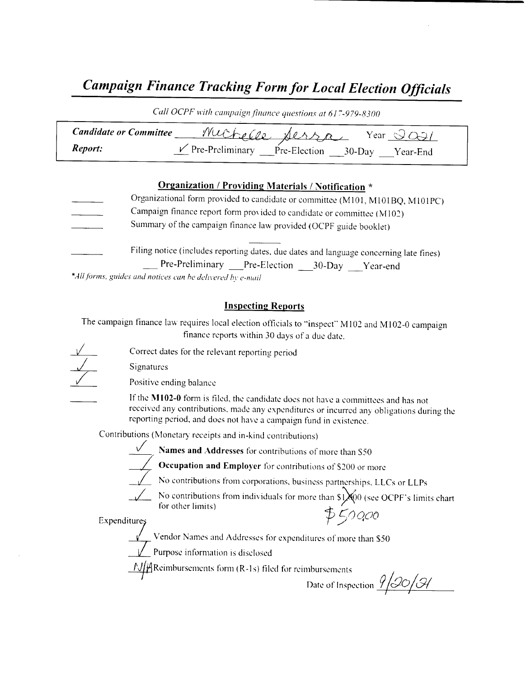## Campaign Finance Tracking Form for Local Election Officials

| Call OCPF with campaign finance questions at 617-979-8300 |                                                 |  |  |  |
|-----------------------------------------------------------|-------------------------------------------------|--|--|--|
| <b>Candidate or Committee</b>                             | muchelle,<br>Sersa<br>Year $\Im$                |  |  |  |
| Report:                                                   | Pre-Preliminary Pre-Election 30-Day<br>Year-End |  |  |  |

#### Organization / Providing Materials / Notification \*

Organizational form provided to candidate or committee (M101, M101BQ, M101PC) Campaign finance report form provided to candidate or committee (M102) Summary of the campaign finance law provided( OCPF guide booklet) Filing notice ( includes reporting dates, due dates and language concerning late fines) Pre-Preliminary Pre-Election 30-Day Year-end **IRENT CONSULTER FOR AN ARTICLE CONSULTER CONSULTER CONSULTER CONSULTER CONSULTER CONSULTER CONSULTER CONSULTER CONSULTER CONSULTER CONSULTER CONSULTER CONSULTER CONSULTER CONSULTER CONSULTER CONSULTER CONSULTER CONSULTER** 

\*All forms, guides and notices can he delivered by e-mail

#### Inspecting Reports

The campaign finance law requires local election officials to "inspect" M102 and M102-0 campaign finance reports within 30 days of <sup>a</sup> due date.

Correct dates for the relevant reporting period

Signatures



Positive ending balance

If the M102-0 form is filed, the candidate does not have a committees and has not received any contributions, made any expenditures or incurred any obligations during the reporting period, and does not have a campaign fund in existence.

Contributions ( Monetary receipts and in- kind contributions)



Names and Addresses for contributions of more than S50



 $\overline{\phantom{a}}$  Occupation and Employer for contributions of \$200 or more



 $\sqrt{\phantom{a}}$  No contributions from corporations, business partnerships, LLCs or LLPs

No contributions from individuals for more than  $\frac{1}{2}$  00 (see OCPF's limits chart for other limits) Expenditures  $\ddot{\phi}$   $\phi$ 

Yendor Names and Addresses for expenditures of more than \$50

Purpose information is disclosed

Date of Inspection  $\frac{\partial}{\partial 0}$  (A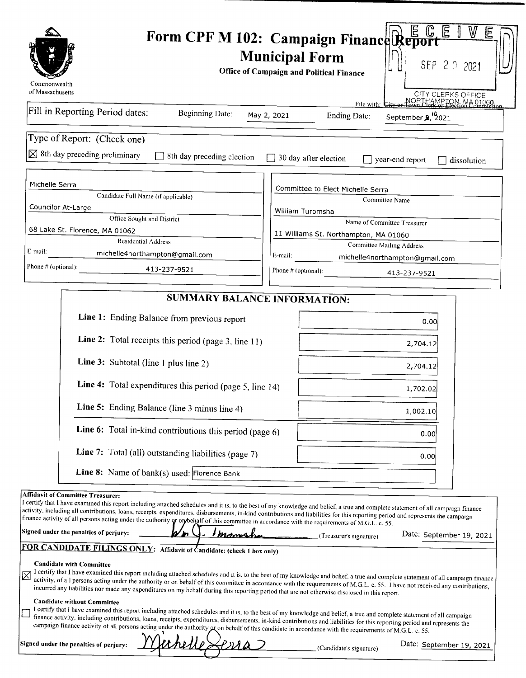|                                                                                                                                                                                                                                                                                                                                                                                                                                                                                                                                                                                                                                                                                                                                                                                                                                                                                                                      | E<br>W<br>Form CPF M 102: Campaign Finance Report<br><b>Municipal Form</b><br>SEP 2 0 2021<br><b>Office of Campaign and Political Finance</b>                                                                                           |
|----------------------------------------------------------------------------------------------------------------------------------------------------------------------------------------------------------------------------------------------------------------------------------------------------------------------------------------------------------------------------------------------------------------------------------------------------------------------------------------------------------------------------------------------------------------------------------------------------------------------------------------------------------------------------------------------------------------------------------------------------------------------------------------------------------------------------------------------------------------------------------------------------------------------|-----------------------------------------------------------------------------------------------------------------------------------------------------------------------------------------------------------------------------------------|
| Commonwealth<br>of Massachusetts                                                                                                                                                                                                                                                                                                                                                                                                                                                                                                                                                                                                                                                                                                                                                                                                                                                                                     | CITY CLERKS OFFICE                                                                                                                                                                                                                      |
| Fill in Reporting Period dates:<br><b>Beginning Date:</b>                                                                                                                                                                                                                                                                                                                                                                                                                                                                                                                                                                                                                                                                                                                                                                                                                                                            | NORTHAMPTON, MA 01060<br>File with: $C_{\mathbf{H}}$<br>September 2, 2021<br>May 2, 2021<br><b>Ending Date:</b>                                                                                                                         |
| Type of Report: (Check one)                                                                                                                                                                                                                                                                                                                                                                                                                                                                                                                                                                                                                                                                                                                                                                                                                                                                                          |                                                                                                                                                                                                                                         |
| $\times$ 8th day preceding preliminary<br>8th day preceding election                                                                                                                                                                                                                                                                                                                                                                                                                                                                                                                                                                                                                                                                                                                                                                                                                                                 | 30 day after election<br>year-end report<br>dissolution                                                                                                                                                                                 |
| Michelle Serra                                                                                                                                                                                                                                                                                                                                                                                                                                                                                                                                                                                                                                                                                                                                                                                                                                                                                                       | Committee to Elect Michelle Serra                                                                                                                                                                                                       |
| Candidate Full Name (if applicable)                                                                                                                                                                                                                                                                                                                                                                                                                                                                                                                                                                                                                                                                                                                                                                                                                                                                                  | Committee Name                                                                                                                                                                                                                          |
| Councilor At-Large<br>Office Sought and District                                                                                                                                                                                                                                                                                                                                                                                                                                                                                                                                                                                                                                                                                                                                                                                                                                                                     | William Turomsha                                                                                                                                                                                                                        |
| 68 Lake St. Florence, MA 01062                                                                                                                                                                                                                                                                                                                                                                                                                                                                                                                                                                                                                                                                                                                                                                                                                                                                                       | Name of Committee Treasurer                                                                                                                                                                                                             |
| <b>Residential Address</b>                                                                                                                                                                                                                                                                                                                                                                                                                                                                                                                                                                                                                                                                                                                                                                                                                                                                                           | 11 Williams St. Northampton, MA 01060<br>Committee Mailing Address                                                                                                                                                                      |
| E-mail:<br>michelle4northampton@gmail.com                                                                                                                                                                                                                                                                                                                                                                                                                                                                                                                                                                                                                                                                                                                                                                                                                                                                            | E-mail:<br>michelle4northampton@gmail.com                                                                                                                                                                                               |
| Phone # (optional):<br>413-237-9521                                                                                                                                                                                                                                                                                                                                                                                                                                                                                                                                                                                                                                                                                                                                                                                                                                                                                  | Phone $#$ (optional):<br>413-237-9521                                                                                                                                                                                                   |
|                                                                                                                                                                                                                                                                                                                                                                                                                                                                                                                                                                                                                                                                                                                                                                                                                                                                                                                      |                                                                                                                                                                                                                                         |
| <b>SUMMARY BALANCE INFORMATION:</b>                                                                                                                                                                                                                                                                                                                                                                                                                                                                                                                                                                                                                                                                                                                                                                                                                                                                                  |                                                                                                                                                                                                                                         |
| Line 1: Ending Balance from previous report                                                                                                                                                                                                                                                                                                                                                                                                                                                                                                                                                                                                                                                                                                                                                                                                                                                                          | 0.00                                                                                                                                                                                                                                    |
| Line 2: Total receipts this period (page 3, line 11)                                                                                                                                                                                                                                                                                                                                                                                                                                                                                                                                                                                                                                                                                                                                                                                                                                                                 | 2,704.12                                                                                                                                                                                                                                |
| Line 3: Subtotal (line 1 plus line 2)                                                                                                                                                                                                                                                                                                                                                                                                                                                                                                                                                                                                                                                                                                                                                                                                                                                                                | 2,704.12                                                                                                                                                                                                                                |
| Line 4: Total expenditures this period (page 5, line 14)                                                                                                                                                                                                                                                                                                                                                                                                                                                                                                                                                                                                                                                                                                                                                                                                                                                             | 1,702.02                                                                                                                                                                                                                                |
| Line 5: Ending Balance (line 3 minus line 4)                                                                                                                                                                                                                                                                                                                                                                                                                                                                                                                                                                                                                                                                                                                                                                                                                                                                         | 1,002.10                                                                                                                                                                                                                                |
| Line 6: Total in-kind contributions this period (page 6)                                                                                                                                                                                                                                                                                                                                                                                                                                                                                                                                                                                                                                                                                                                                                                                                                                                             | 0.00                                                                                                                                                                                                                                    |
| Line 7: Total (all) outstanding liabilities (page 7)                                                                                                                                                                                                                                                                                                                                                                                                                                                                                                                                                                                                                                                                                                                                                                                                                                                                 | 0.00                                                                                                                                                                                                                                    |
| Line 8: Name of $bank(s)$ used: Florence Bank                                                                                                                                                                                                                                                                                                                                                                                                                                                                                                                                                                                                                                                                                                                                                                                                                                                                        |                                                                                                                                                                                                                                         |
| Affidavit of Committee Treasurer:<br>I certify that I have examined this report including attached schedules and it is, to the best of my knowledge and belief, a true and complete statement of all campaign finance<br>activity, including all contributions, loans, receipts, expenditures, disbursements, in-kind contributions and liabilities for this reporting period and represents the campaign<br>finance activity of all persons acting under the authority or on behalf of this committee in accordance with the requirements of M.G.L. c. 55.<br>Signed under the penalties of perjury:<br><u>Imany</u><br>FOR CANDIDATE FILINGS ONLY: Affidavit of Candidate: (check 1 box only)<br><b>Candidate with Committee</b><br>activity, of all persons acting under the authority or on behalf of this committee in accordance with the requirements of M.G.L. c. 55. I have not received any contributions, | Date: September 19, 2021<br>(Treasurer's signature)<br>I certify that I have examined this report including attached schedules and it is, to the best of my knowledge and belief, a true and complete statement of all campaign finance |
| incurred any liabilities nor made any expenditures on my behalf during this reporting period that are not otherwise disclosed in this report.<br><b>Candidate without Committee</b><br>I certify that I have examined this report including attached schedules and it is, to the best of my knowledge and belief, a true and complete statement of all campaign<br>finance activity, including contributions, loans, receipts, expenditures, disbursements, in-kind contributions and liabilities for this reporting period and represents the<br>campaign finance activity of all persons acting under the authority $\alpha$ on behalf of this candidate in accordance with the requirements of M.G.L. c. 55.<br>Signed under the penalties of perjury:                                                                                                                                                            |                                                                                                                                                                                                                                         |
|                                                                                                                                                                                                                                                                                                                                                                                                                                                                                                                                                                                                                                                                                                                                                                                                                                                                                                                      | Date: September 19, 2021<br>(Candidate's signature)                                                                                                                                                                                     |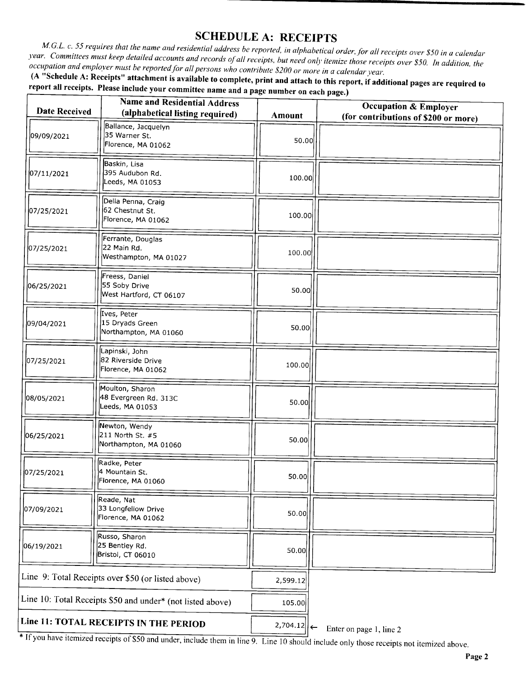#### SCHEDULE A: RECEIPTS

M.G.L. c. 55 requires that the name and residential address be reported, in alphabetical order, for all receipts over \$50 in a calendar year. Committees must keep detailed accounts and records of all receipts, but need only itemize those receipts over \$50. In addition, the occupation and employer must be reported for all persons who contribute \$200 or more in a calendar year.

A " Schedule A: Receipts" attachment is available to complete, print and attach to this report, if additional pages are required to report all receipts. Please include your committee name and a page number on each page.)

| <b>Date Received</b>                                       | <b>Name and Residential Address</b><br>(alphabetical listing required) | <b>Amount</b> | <b>Occupation &amp; Employer</b><br>(for contributions of \$200 or more) |
|------------------------------------------------------------|------------------------------------------------------------------------|---------------|--------------------------------------------------------------------------|
| 09/09/2021                                                 | Ballance, Jacquelyn<br>35 Warner St.<br>Florence, MA 01062             | 50.00         |                                                                          |
| 07/11/2021                                                 | Baskin, Lisa<br>395 Audubon Rd.<br>Leeds, MA 01053                     | 100.00        |                                                                          |
| 07/25/2021                                                 | Della Penna, Craig<br>62 Chestnut St.<br>Florence, MA 01062            | 100.00        |                                                                          |
| 07/25/2021                                                 | Ferrante, Douglas<br>22 Main Rd.<br>Westhampton, MA 01027              | 100.00        |                                                                          |
| 06/25/2021                                                 | Freess, Daniel<br>55 Soby Drive<br>West Hartford, CT 06107             | 50.00         |                                                                          |
| 09/04/2021                                                 | Ives, Peter<br>15 Dryads Green<br>Northampton, MA 01060                | 50.00         |                                                                          |
| 07/25/2021                                                 | Lapinski, John<br>82 Riverside Drive<br>Florence, MA 01062             | 100.00        |                                                                          |
| 08/05/2021                                                 | Moulton, Sharon<br>48 Evergreen Rd. 313C<br>Leeds, MA 01053            | 50.00         |                                                                          |
| 06/25/2021                                                 | Newton, Wendy<br>211 North St. #5<br>Northampton, MA 01060             | 50.00         |                                                                          |
| 07/25/2021                                                 | Radke, Peter<br>4 Mountain St.<br>Florence, MA 01060                   | 50.00         |                                                                          |
| 07/09/2021                                                 | Reade, Nat<br>33 Longfellow Drive<br>Florence, MA 01062                | 50.00         |                                                                          |
| 06/19/2021                                                 | Russo, Sharon<br>25 Bentley Rd.<br>Bristol, CT 06010                   | 50.00         |                                                                          |
| Line 9: Total Receipts over \$50 (or listed above)         |                                                                        | 2,599.12      |                                                                          |
| Line 10: Total Receipts \$50 and under* (not listed above) |                                                                        | 105.00        |                                                                          |
| Line 11: TOTAL RECEIPTS IN THE PERIOD                      |                                                                        | 2,704.12      | Enter on page 1, line 2                                                  |

If you have necembered receipts of \$50 and under, include them in line 9. Line 10 should include only those receipts not itemized above.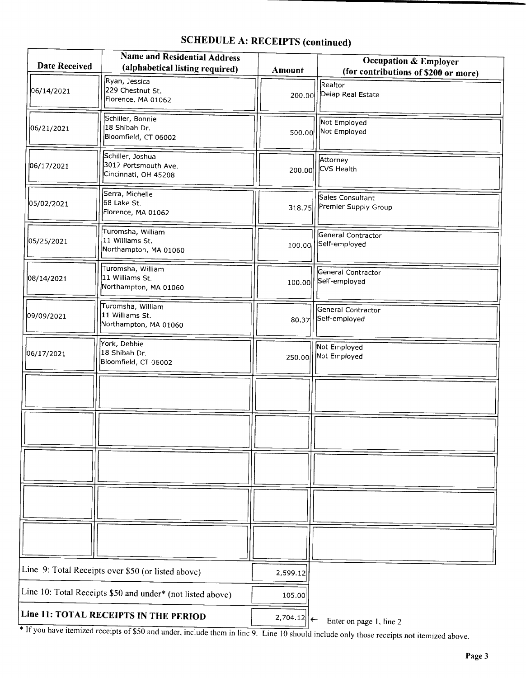## SCHEDULE A: RECEIPTS (continued)

| <b>Date Received</b>                                       | <b>Name and Residential Address</b><br>(alphabetical listing required) | <b>Amount</b> | <b>Occupation &amp; Employer</b><br>(for contributions of \$200 or more) |
|------------------------------------------------------------|------------------------------------------------------------------------|---------------|--------------------------------------------------------------------------|
| 06/14/2021                                                 | Ryan, Jessica<br>229 Chestnut St.<br>Florence, MA 01062                | 200.00        | Realtor<br>Delap Real Estate                                             |
| 06/21/2021                                                 | Schiller, Bonnie<br>18 Shibah Dr.<br>Bloomfield, CT 06002              | 500.00        | Not Employed<br>Not Employed                                             |
| 06/17/2021                                                 | Schiller, Joshua<br>3017 Portsmouth Ave.<br>Cincinnati, OH 45208       | 200.00        | Attorney<br>CVS Health                                                   |
| 05/02/2021                                                 | Serra, Michelle<br>68 Lake St.<br>Florence, MA 01062                   | 318.75        | Sales Consultant<br>Premier Supply Group                                 |
| 05/25/2021                                                 | Turomsha, William<br>11 Williams St.<br>Northampton, MA 01060          | 100.00        | General Contractor<br>Self-employed                                      |
| 08/14/2021                                                 | Turomsha, William<br>11 Williams St.<br>Northampton, MA 01060          | 100.00        | General Contractor<br>Self-employed                                      |
| 09/09/2021                                                 | Turomsha, William<br>11 Williams St.<br>Northampton, MA 01060          | 80.37         | General Contractor<br>Self-employed                                      |
| 06/17/2021                                                 | York, Debbie<br>18 Shibah Dr.<br>Bloomfield, CT 06002                  | 250.00        | Not Employed<br>Not Employed                                             |
|                                                            |                                                                        |               |                                                                          |
|                                                            |                                                                        |               |                                                                          |
|                                                            |                                                                        |               |                                                                          |
|                                                            |                                                                        |               |                                                                          |
|                                                            |                                                                        |               |                                                                          |
| Line 9: Total Receipts over \$50 (or listed above)         |                                                                        | 2,599.12      |                                                                          |
| Line 10: Total Receipts \$50 and under* (not listed above) |                                                                        | 105.00        |                                                                          |
| Line 11: TOTAL RECEIPTS IN THE PERIOD                      |                                                                        | $2,704.12$    | Enter on page 1, line 2                                                  |

If you have itemized receipts of \$50 and under, include them in line 9. Line 10 should include only those receipts not itemized above.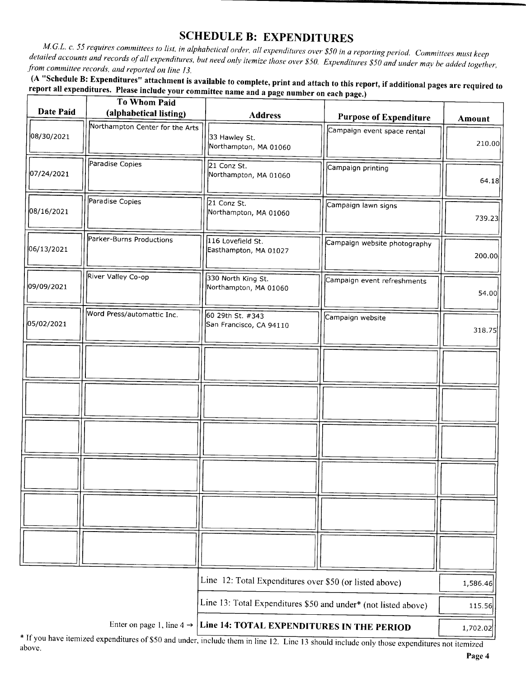SCHEDULE B: EXPENDITURES<br>M.G.L. c. 55 requires committees to list, in alphabetical order, all expenditures over \$50 in a reporting period. Committees must keep iled accounts and records of all expenditures, but need order, and expenditures over 550 in a reporting period. Committees must keep detailed accounts and records of all expenditures, but need only itemize those over \$50. Expenditures \$50 and under may be added together, from committee records, and reported on line 13.

A " Schedule B: Expenditures" attachment is available to complete, print and attach to this report, if additional pages are required to report all expenditures. Please include your committee name and a page number on each page.)

|            | <b>To Whom Paid</b>                   |                                                         |                                                                |               |
|------------|---------------------------------------|---------------------------------------------------------|----------------------------------------------------------------|---------------|
| Date Paid  | (alphabetical listing)                | <b>Address</b>                                          | <b>Purpose of Expenditure</b>                                  | <b>Amount</b> |
| 08/30/2021 | Northampton Center for the Arts       | 33 Hawley St.<br>Northampton, MA 01060                  | Campaign event space rental                                    | 210.00        |
| 07/24/2021 | Paradise Copies                       | 21 Conz St.<br>Northampton, MA 01060                    | Campaign printing                                              | 64.18         |
| 08/16/2021 | Paradise Copies                       | 21 Conz St.<br>Northampton, MA 01060                    | Campaign lawn signs                                            | 739.23        |
| 06/13/2021 | Parker-Burns Productions              | 116 Lovefield St.<br>Easthampton, MA 01027              | Campaign website photography                                   | 200.00        |
| 09/09/2021 | River Valley Co-op                    | 330 North King St.<br>Northampton, MA 01060             | Campaign event refreshments                                    | 54.00         |
| 05/02/2021 | Word Press/automattic Inc.            | 60 29th St. #343<br>San Francisco, CA 94110             | Campaign website                                               | 318.75        |
|            |                                       |                                                         |                                                                |               |
|            |                                       |                                                         |                                                                |               |
|            |                                       |                                                         |                                                                |               |
|            |                                       |                                                         |                                                                |               |
|            |                                       |                                                         |                                                                |               |
|            |                                       |                                                         |                                                                |               |
|            |                                       | Line 12: Total Expenditures over \$50 (or listed above) |                                                                | 1,586.46      |
|            |                                       |                                                         | Line 13: Total Expenditures \$50 and under* (not listed above) | 115.56        |
|            | Enter on page 1, line $4 \rightarrow$ | Line 14: TOTAL EXPENDITURES IN THE PERIOD               |                                                                | 1,702.02      |

<sup>\*</sup> If you have itemized expenditures of \$50 and under, include them in line 12. Line 13 should include only those expenditures not itemized above.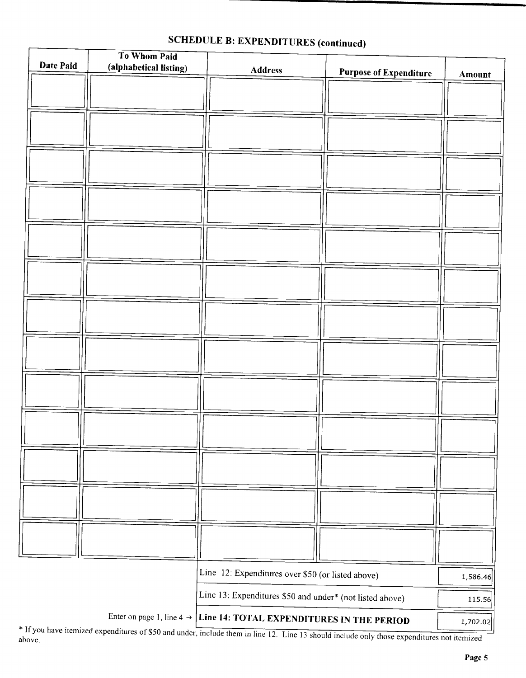| Date Paid | To Whom Paid           |                                                                                                                                                                                                   |                               |          |
|-----------|------------------------|---------------------------------------------------------------------------------------------------------------------------------------------------------------------------------------------------|-------------------------------|----------|
|           | (alphabetical listing) | <b>Address</b>                                                                                                                                                                                    | <b>Purpose of Expenditure</b> | Amount   |
|           |                        |                                                                                                                                                                                                   |                               |          |
|           |                        |                                                                                                                                                                                                   |                               |          |
|           |                        |                                                                                                                                                                                                   |                               |          |
|           |                        |                                                                                                                                                                                                   |                               |          |
|           |                        |                                                                                                                                                                                                   |                               |          |
|           |                        |                                                                                                                                                                                                   |                               |          |
|           |                        |                                                                                                                                                                                                   |                               |          |
|           |                        |                                                                                                                                                                                                   |                               |          |
|           |                        |                                                                                                                                                                                                   |                               |          |
|           |                        |                                                                                                                                                                                                   |                               |          |
|           |                        |                                                                                                                                                                                                   |                               |          |
|           |                        |                                                                                                                                                                                                   |                               |          |
|           |                        |                                                                                                                                                                                                   |                               |          |
|           |                        |                                                                                                                                                                                                   |                               |          |
|           |                        |                                                                                                                                                                                                   |                               |          |
|           |                        |                                                                                                                                                                                                   |                               |          |
|           |                        |                                                                                                                                                                                                   |                               |          |
|           |                        |                                                                                                                                                                                                   |                               |          |
|           |                        |                                                                                                                                                                                                   |                               |          |
|           |                        |                                                                                                                                                                                                   |                               |          |
|           |                        |                                                                                                                                                                                                   |                               |          |
|           |                        |                                                                                                                                                                                                   |                               |          |
|           |                        |                                                                                                                                                                                                   |                               |          |
|           |                        |                                                                                                                                                                                                   |                               |          |
|           |                        |                                                                                                                                                                                                   |                               |          |
|           |                        |                                                                                                                                                                                                   |                               |          |
|           |                        |                                                                                                                                                                                                   |                               |          |
|           |                        |                                                                                                                                                                                                   |                               |          |
|           |                        |                                                                                                                                                                                                   |                               |          |
|           |                        |                                                                                                                                                                                                   |                               |          |
|           |                        | Line 12: Expenditures over \$50 (or listed above)                                                                                                                                                 |                               | 1,586.46 |
|           |                        | Line 13: Expenditures \$50 and under* (not listed above)                                                                                                                                          |                               | 115.56   |
|           |                        |                                                                                                                                                                                                   |                               |          |
|           |                        | Enter on page 1, line $4 \rightarrow$ Line 14: TOTAL EXPENDITURES IN THE PERIOD<br>If you have itemized expenditures of \$50 and under, include them in line 12. I ine 13 should include only the |                               | 1,702.02 |

# SCHEDULE B: EXPENDITURES (continued)

above.<br>above.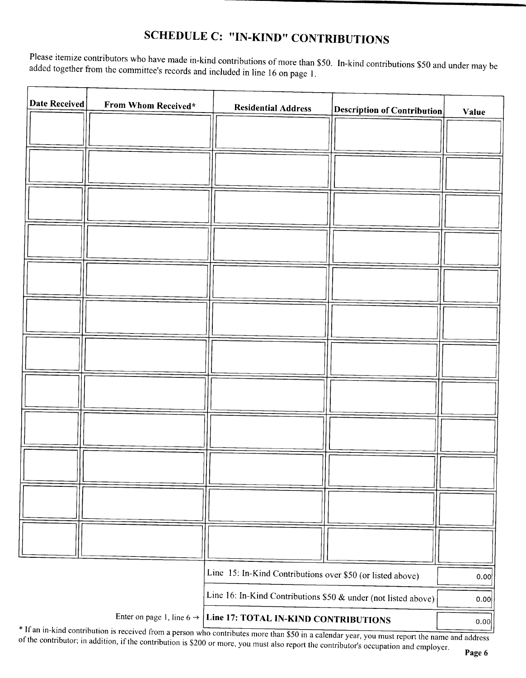### SCHEDULE C: "IN-KIND" CONTRIBUTIONS

Please itemize contributors who have made in-kind contributions of more than \$50. In-kind contributions \$50 and under may be added together from the committee's records and included in line 16 on page 1.

| Date Received | From Whom Received*                   | <b>Residential Address</b>                                                                             | <b>Description of Contribution</b> | Value        |
|---------------|---------------------------------------|--------------------------------------------------------------------------------------------------------|------------------------------------|--------------|
|               |                                       |                                                                                                        |                                    |              |
|               |                                       |                                                                                                        |                                    |              |
|               |                                       |                                                                                                        |                                    |              |
|               |                                       |                                                                                                        |                                    |              |
|               |                                       |                                                                                                        |                                    |              |
|               |                                       |                                                                                                        |                                    |              |
|               |                                       |                                                                                                        |                                    |              |
|               |                                       |                                                                                                        |                                    |              |
|               |                                       |                                                                                                        |                                    |              |
|               |                                       |                                                                                                        |                                    |              |
|               |                                       |                                                                                                        |                                    |              |
|               |                                       |                                                                                                        |                                    |              |
|               |                                       |                                                                                                        |                                    |              |
|               |                                       |                                                                                                        |                                    |              |
|               |                                       | Line 15: In-Kind Contributions over \$50 (or listed above)                                             |                                    | 0.00         |
|               | Enter on page 1, line 6 $\rightarrow$ | Line 16: In-Kind Contributions \$50 & under (not listed above)<br>Line 17: TOTAL IN-KIND CONTRIBUTIONS |                                    | 0.00<br>0.00 |

If an in- kind contribution is received from a person who contributes more than  $$50$  in a calendar year, you must report the name and address the contributor in addition if the contribution is  $$200$  summers. of the contributor; in addition, if the contribution is \$200 or more, you must also report the contributor's occupation and employer.